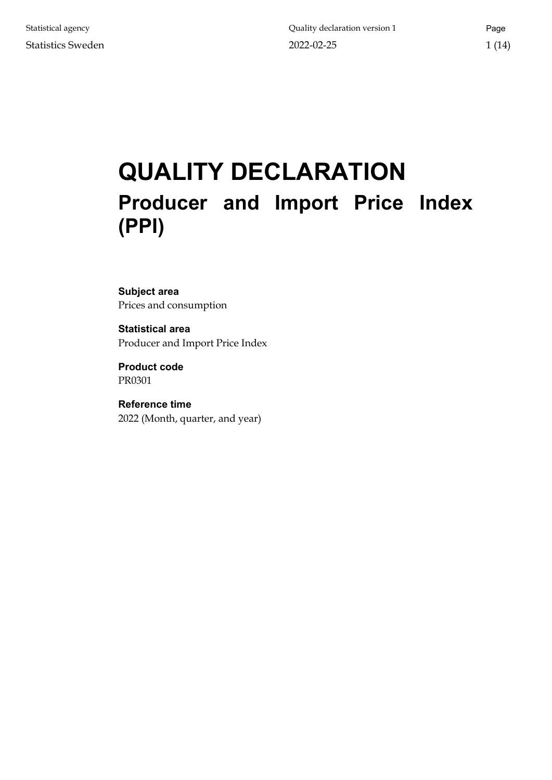# <span id="page-0-0"></span>**QUALITY DECLARATION Producer and Import Price Index (PPI)**

## **Subject area** Prices and consumption

**Statistical area** Producer and Import Price Index

**Product code** PR0301

**Reference time** 2022 (Month, quarter, and year)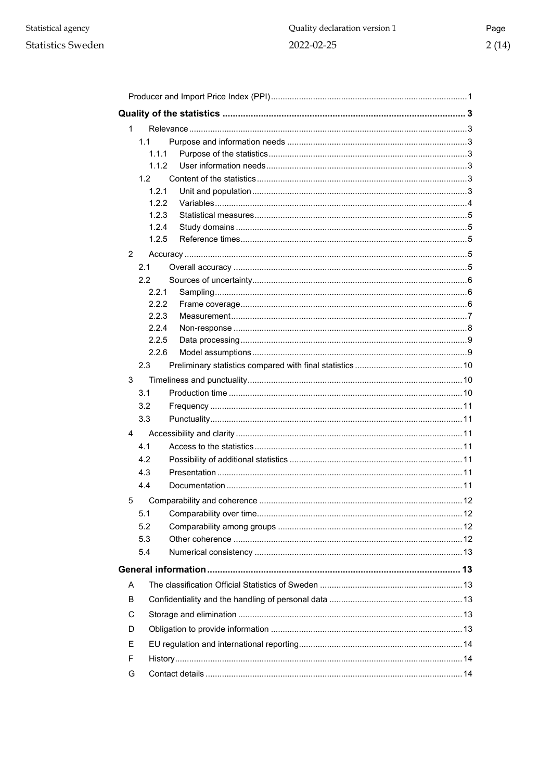#### **Statistics Sweden**

| 1. |       |                               |    |  |
|----|-------|-------------------------------|----|--|
|    | 1.1   |                               |    |  |
|    | 1.1.1 |                               |    |  |
|    | 1.1.2 |                               |    |  |
|    | 1.2   |                               |    |  |
|    | 1.2.1 |                               |    |  |
|    | 1.2.2 |                               |    |  |
|    | 1.2.3 |                               |    |  |
|    | 1.2.4 |                               |    |  |
|    | 1.2.5 |                               |    |  |
| 2  |       |                               |    |  |
|    | 2.1   |                               |    |  |
|    | 2.2   |                               |    |  |
|    | 2.2.1 |                               |    |  |
|    | 2.2.2 |                               |    |  |
|    | 2.2.3 |                               |    |  |
|    | 2.2.4 |                               |    |  |
|    | 2.2.5 |                               |    |  |
|    | 2.2.6 |                               |    |  |
|    | 2.3   |                               |    |  |
| 3  |       |                               |    |  |
|    | 3.1   |                               |    |  |
|    | 3.2   |                               |    |  |
|    | 3.3   |                               |    |  |
| 4  |       |                               |    |  |
|    | 4.1   |                               |    |  |
|    | 4.2   |                               |    |  |
|    | 4.3   |                               |    |  |
|    | 4.4   |                               |    |  |
|    |       | 5 Comparability and coherence | 12 |  |
|    | 5.1   |                               |    |  |
|    | 5.2   |                               |    |  |
|    | 5.3   |                               |    |  |
|    | 5.4   |                               |    |  |
|    |       |                               |    |  |
|    |       |                               |    |  |
| A  |       |                               |    |  |
| B  |       |                               |    |  |
| C  |       |                               |    |  |
| D  |       |                               |    |  |
| Е  |       |                               |    |  |
| F  |       |                               |    |  |
| G  |       |                               |    |  |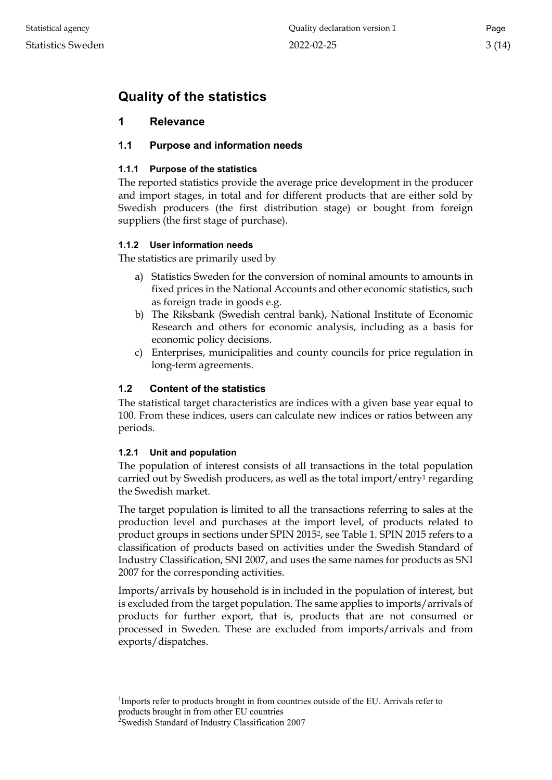# <span id="page-2-0"></span>**Quality of the statistics**

# <span id="page-2-1"></span>**1 Relevance**

# <span id="page-2-2"></span>**1.1 Purpose and information needs**

# <span id="page-2-3"></span>**1.1.1 Purpose of the statistics**

The reported statistics provide the average price development in the producer and import stages, in total and for different products that are either sold by Swedish producers (the first distribution stage) or bought from foreign suppliers (the first stage of purchase).

# <span id="page-2-4"></span>**1.1.2 User information needs**

The statistics are primarily used by

- a) Statistics Sweden for the conversion of nominal amounts to amounts in fixed prices in the National Accounts and other economic statistics, such as foreign trade in goods e.g.
- b) The Riksbank (Swedish central bank), National Institute of Economic Research and others for economic analysis, including as a basis for economic policy decisions.
- c) Enterprises, municipalities and county councils for price regulation in long-term agreements.

# <span id="page-2-5"></span>**1.2 Content of the statistics**

The statistical target characteristics are indices with a given base year equal to 100. From these indices, users can calculate new indices or ratios between any periods.

## <span id="page-2-6"></span>**1.2.1 Unit and population**

The population of interest consists of all transactions in the total population carried out by Swedish producers, as well as the total import/entry<sup>[1](#page-2-7)</sup> regarding the Swedish market.

The target population is limited to all the transactions referring to sales at the production level and purchases at the import level, of products related to product groups in sections under SPIN 2015<sup>2</sup>, see Table 1. SPIN 2015 refers to a classification of products based on activities under the Swedish Standard of Industry Classification, SNI 2007, and uses the same names for products as SNI 2007 for the corresponding activities.

Imports/arrivals by household is in included in the population of interest, but is excluded from the target population. The same applies to imports/arrivals of products for further export, that is, products that are not consumed or processed in Sweden. These are excluded from imports/arrivals and from exports/dispatches.

<span id="page-2-7"></span><sup>&</sup>lt;sup>1</sup>Imports refer to products brought in from countries outside of the EU. Arrivals refer to products brought in from other EU countries

<span id="page-2-8"></span><sup>2</sup> Swedish Standard of Industry Classification 2007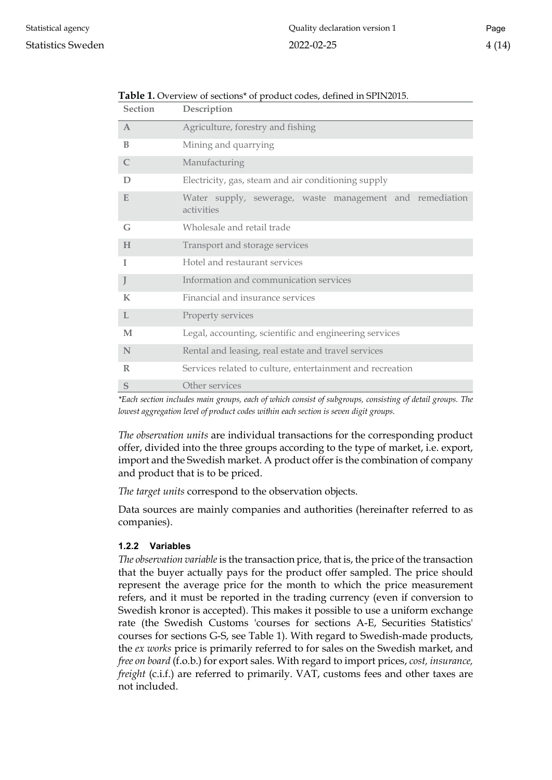| Section      | Description                                                            |
|--------------|------------------------------------------------------------------------|
| $\mathsf{A}$ | Agriculture, forestry and fishing                                      |
| B            | Mining and quarrying                                                   |
| $\mathsf{C}$ | Manufacturing                                                          |
| D            | Electricity, gas, steam and air conditioning supply                    |
| E            | Water supply, sewerage, waste management and remediation<br>activities |
| G            | Wholesale and retail trade                                             |
| H            | Transport and storage services                                         |
| I            | Hotel and restaurant services                                          |
| J            | Information and communication services                                 |
| $\bf K$      | Financial and insurance services                                       |
| L            | Property services                                                      |
| M            | Legal, accounting, scientific and engineering services                 |
| N            | Rental and leasing, real estate and travel services                    |
| $\mathbb{R}$ | Services related to culture, entertainment and recreation              |
| S            | Other services                                                         |

#### **Table 1.** Overview of sections\* of product codes, defined in SPIN2015.

**Section Description**

*\*Each section includes main groups, each of which consist of subgroups, consisting of detail groups. The lowest aggregation level of product codes within each section is seven digit groups.*

*The observation units* are individual transactions for the corresponding product offer, divided into the three groups according to the type of market, i.e. export, import and the Swedish market. A product offer is the combination of company and product that is to be priced.

*The target units* correspond to the observation objects.

Data sources are mainly companies and authorities (hereinafter referred to as companies).

#### <span id="page-3-0"></span>**1.2.2 Variables**

*The observation variable* is the transaction price, that is, the price of the transaction that the buyer actually pays for the product offer sampled. The price should represent the average price for the month to which the price measurement refers, and it must be reported in the trading currency (even if conversion to Swedish kronor is accepted). This makes it possible to use a uniform exchange rate (the Swedish Customs 'courses for sections A-E, Securities Statistics' courses for sections G-S, see Table 1). With regard to Swedish-made products, the *ex works* price is primarily referred to for sales on the Swedish market, and *free on board* (f.o.b.) for export sales. With regard to import prices, *cost, insurance, freight* (c.i.f.) are referred to primarily. VAT, customs fees and other taxes are not included.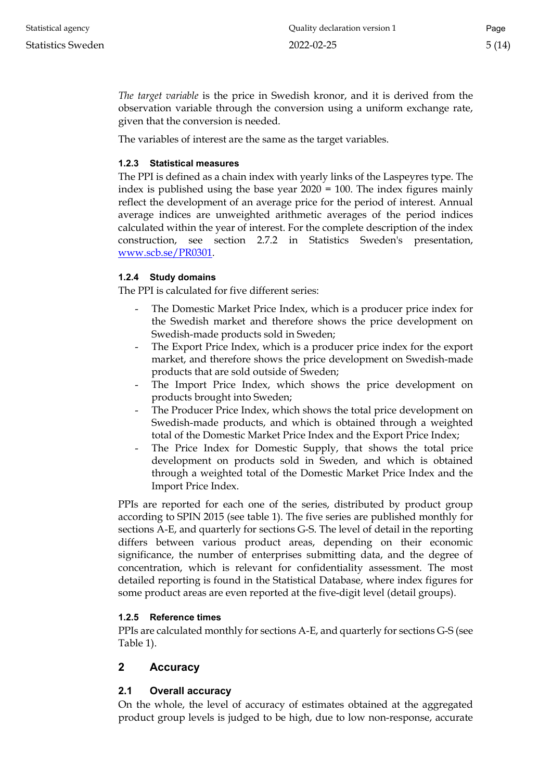*The target variable* is the price in Swedish kronor, and it is derived from the observation variable through the conversion using a uniform exchange rate, given that the conversion is needed.

The variables of interest are the same as the target variables.

#### <span id="page-4-0"></span>**1.2.3 Statistical measures**

The PPI is defined as a chain index with yearly links of the Laspeyres type. The index is published using the base year 2020 = 100. The index figures mainly reflect the development of an average price for the period of interest. Annual average indices are unweighted arithmetic averages of the period indices calculated within the year of interest. For the complete description of the index construction, see section 2.7.2 in Statistics Sweden's presentation, www.scb.se/PR0301.

#### <span id="page-4-1"></span>**1.2.4 Study domains**

The PPI is calculated for five different series:

- The Domestic Market Price Index, which is a producer price index for the Swedish market and therefore shows the price development on Swedish-made products sold in Sweden;
- The Export Price Index, which is a producer price index for the export market, and therefore shows the price development on Swedish-made products that are sold outside of Sweden;
- The Import Price Index, which shows the price development on products brought into Sweden;
- The Producer Price Index, which shows the total price development on Swedish-made products, and which is obtained through a weighted total of the Domestic Market Price Index and the Export Price Index;
- The Price Index for Domestic Supply, that shows the total price development on products sold in Sweden, and which is obtained through a weighted total of the Domestic Market Price Index and the Import Price Index.

PPIs are reported for each one of the series, distributed by product group according to SPIN 2015 (see table 1). The five series are published monthly for sections A-E, and quarterly for sections G-S. The level of detail in the reporting differs between various product areas, depending on their economic significance, the number of enterprises submitting data, and the degree of concentration, which is relevant for confidentiality assessment. The most detailed reporting is found in the Statistical Database, where index figures for some product areas are even reported at the five-digit level (detail groups).

## <span id="page-4-2"></span>**1.2.5 Reference times**

PPIs are calculated monthly for sections A-E, and quarterly for sections G-S (see Table 1).

## <span id="page-4-3"></span>**2 Accuracy**

## <span id="page-4-4"></span>**2.1 Overall accuracy**

On the whole, the level of accuracy of estimates obtained at the aggregated product group levels is judged to be high, due to low non-response, accurate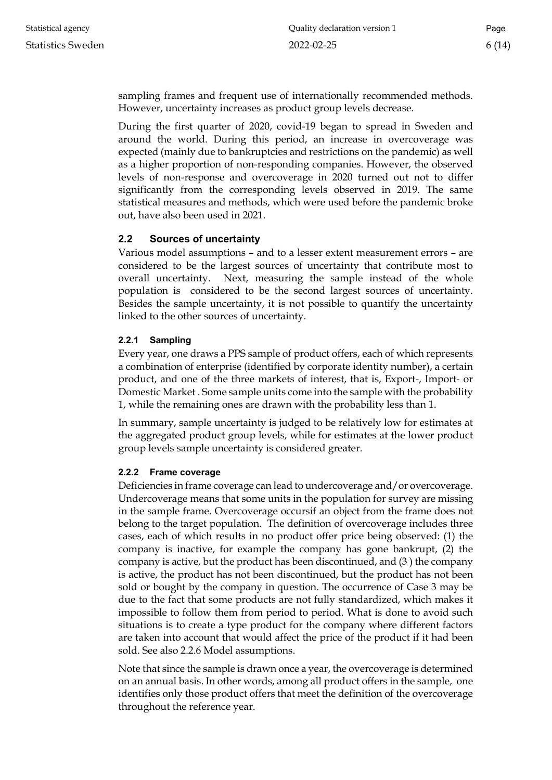sampling frames and frequent use of internationally recommended methods. However, uncertainty increases as product group levels decrease.

During the first quarter of 2020, covid-19 began to spread in Sweden and around the world. During this period, an increase in overcoverage was expected (mainly due to bankruptcies and restrictions on the pandemic) as well as a higher proportion of non-responding companies. However, the observed levels of non-response and overcoverage in 2020 turned out not to differ significantly from the corresponding levels observed in 2019. The same statistical measures and methods, which were used before the pandemic broke out, have also been used in 2021.

## <span id="page-5-0"></span>**2.2 Sources of uncertainty**

Various model assumptions – and to a lesser extent measurement errors – are considered to be the largest sources of uncertainty that contribute most to overall uncertainty. Next, measuring the sample instead of the whole population is considered to be the second largest sources of uncertainty. Besides the sample uncertainty, it is not possible to quantify the uncertainty linked to the other sources of uncertainty.

## <span id="page-5-1"></span>**2.2.1 Sampling**

Every year, one draws a PPS sample of product offers, each of which represents a combination of enterprise (identified by corporate identity number), a certain product, and one of the three markets of interest, that is, Export-, Import- or Domestic Market . Some sample units come into the sample with the probability 1, while the remaining ones are drawn with the probability less than 1.

In summary, sample uncertainty is judged to be relatively low for estimates at the aggregated product group levels, while for estimates at the lower product group levels sample uncertainty is considered greater.

## <span id="page-5-2"></span>**2.2.2 Frame coverage**

Deficiencies in frame coverage can lead to undercoverage and/or overcoverage. Undercoverage means that some units in the population for survey are missing in the sample frame. Overcoverage occursif an object from the frame does not belong to the target population. The definition of overcoverage includes three cases, each of which results in no product offer price being observed: (1) the company is inactive, for example the company has gone bankrupt, (2) the company is active, but the product has been discontinued, and (3 ) the company is active, the product has not been discontinued, but the product has not been sold or bought by the company in question. The occurrence of Case 3 may be due to the fact that some products are not fully standardized, which makes it impossible to follow them from period to period. What is done to avoid such situations is to create a type product for the company where different factors are taken into account that would affect the price of the product if it had been sold. See also 2.2.6 Model assumptions.

Note that since the sample is drawn once a year, the overcoverage is determined on an annual basis. In other words, among all product offers in the sample, one identifies only those product offers that meet the definition of the overcoverage throughout the reference year.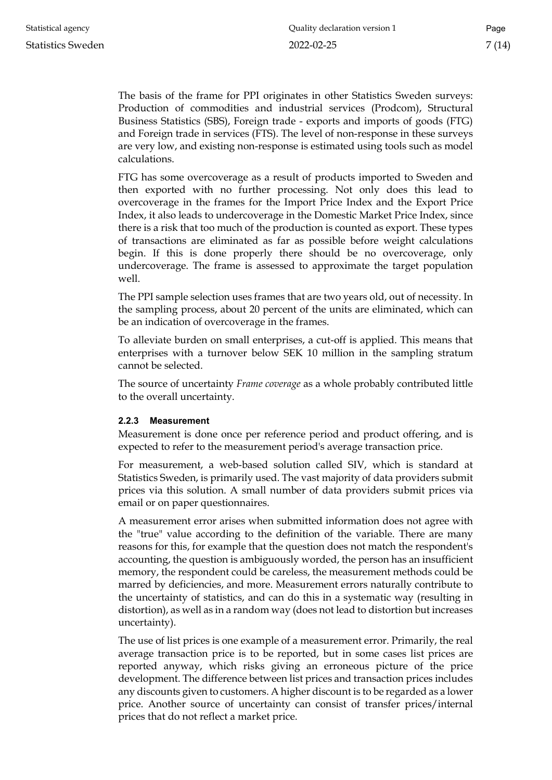The basis of the frame for PPI originates in other Statistics Sweden surveys: Production of commodities and industrial services (Prodcom), Structural Business Statistics (SBS), Foreign trade - exports and imports of goods (FTG) and Foreign trade in services (FTS). The level of non-response in these surveys are very low, and existing non-response is estimated using tools such as model calculations.

FTG has some overcoverage as a result of products imported to Sweden and then exported with no further processing. Not only does this lead to overcoverage in the frames for the Import Price Index and the Export Price Index, it also leads to undercoverage in the Domestic Market Price Index, since there is a risk that too much of the production is counted as export. These types of transactions are eliminated as far as possible before weight calculations begin. If this is done properly there should be no overcoverage, only undercoverage. The frame is assessed to approximate the target population well.

The PPI sample selection uses frames that are two years old, out of necessity. In the sampling process, about 20 percent of the units are eliminated, which can be an indication of overcoverage in the frames.

To alleviate burden on small enterprises, a cut-off is applied. This means that enterprises with a turnover below SEK 10 million in the sampling stratum cannot be selected.

The source of uncertainty *Frame coverage* as a whole probably contributed little to the overall uncertainty.

#### <span id="page-6-0"></span>**2.2.3 Measurement**

Measurement is done once per reference period and product offering, and is expected to refer to the measurement period's average transaction price.

For measurement, a web-based solution called SIV, which is standard at Statistics Sweden, is primarily used. The vast majority of data providers submit prices via this solution. A small number of data providers submit prices via email or on paper questionnaires.

A measurement error arises when submitted information does not agree with the "true" value according to the definition of the variable. There are many reasons for this, for example that the question does not match the respondent's accounting, the question is ambiguously worded, the person has an insufficient memory, the respondent could be careless, the measurement methods could be marred by deficiencies, and more. Measurement errors naturally contribute to the uncertainty of statistics, and can do this in a systematic way (resulting in distortion), as well as in a random way (does not lead to distortion but increases uncertainty).

The use of list prices is one example of a measurement error. Primarily, the real average transaction price is to be reported, but in some cases list prices are reported anyway, which risks giving an erroneous picture of the price development. The difference between list prices and transaction prices includes any discounts given to customers. A higher discount is to be regarded as a lower price. Another source of uncertainty can consist of transfer prices/internal prices that do not reflect a market price.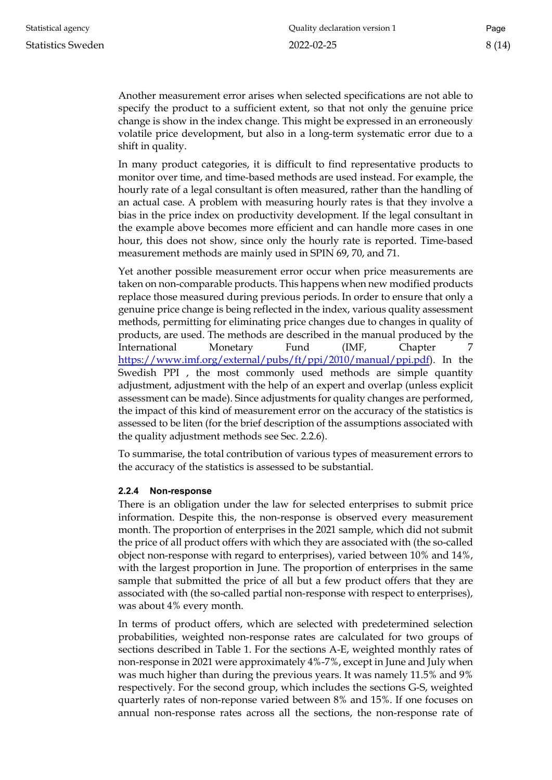Another measurement error arises when selected specifications are not able to specify the product to a sufficient extent, so that not only the genuine price change is show in the index change. This might be expressed in an erroneously volatile price development, but also in a long-term systematic error due to a shift in quality.

In many product categories, it is difficult to find representative products to monitor over time, and time-based methods are used instead. For example, the hourly rate of a legal consultant is often measured, rather than the handling of an actual case. A problem with measuring hourly rates is that they involve a bias in the price index on productivity development. If the legal consultant in the example above becomes more efficient and can handle more cases in one hour, this does not show, since only the hourly rate is reported. Time-based measurement methods are mainly used in SPIN 69, 70, and 71.

Yet another possible measurement error occur when price measurements are taken on non-comparable products. This happens when new modified products replace those measured during previous periods. In order to ensure that only a genuine price change is being reflected in the index, various quality assessment methods, permitting for eliminating price changes due to changes in quality of products, are used. The methods are described in the manual produced by the International Monetary Fund (IMF, Chapter 7 [https://www.imf.org/external/pubs/ft/ppi/2010/manual/ppi.pdf\)](https://www.imf.org/external/pubs/ft/ppi/2010/manual/ppi.pdf). In the Swedish PPI , the most commonly used methods are simple quantity adjustment, adjustment with the help of an expert and overlap (unless explicit assessment can be made). Since adjustments for quality changes are performed, the impact of this kind of measurement error on the accuracy of the statistics is assessed to be liten (for the brief description of the assumptions associated with the quality adjustment methods see Sec. 2.2.6).

To summarise, the total contribution of various types of measurement errors to the accuracy of the statistics is assessed to be substantial.

#### <span id="page-7-0"></span>**2.2.4 Non-response**

There is an obligation under the law for selected enterprises to submit price information. Despite this, the non-response is observed every measurement month. The proportion of enterprises in the 2021 sample, which did not submit the price of all product offers with which they are associated with (the so-called object non-response with regard to enterprises), varied between 10% and 14%, with the largest proportion in June. The proportion of enterprises in the same sample that submitted the price of all but a few product offers that they are associated with (the so-called partial non-response with respect to enterprises), was about 4% every month.

In terms of product offers, which are selected with predetermined selection probabilities, weighted non-response rates are calculated for two groups of sections described in Table 1. For the sections A-E, weighted monthly rates of non-response in 2021 were approximately 4%-7%, except in June and July when was much higher than during the previous years. It was namely 11.5% and 9% respectively. For the second group, which includes the sections G-S, weighted quarterly rates of non-reponse varied between 8% and 15%. If one focuses on annual non-response rates across all the sections, the non-response rate of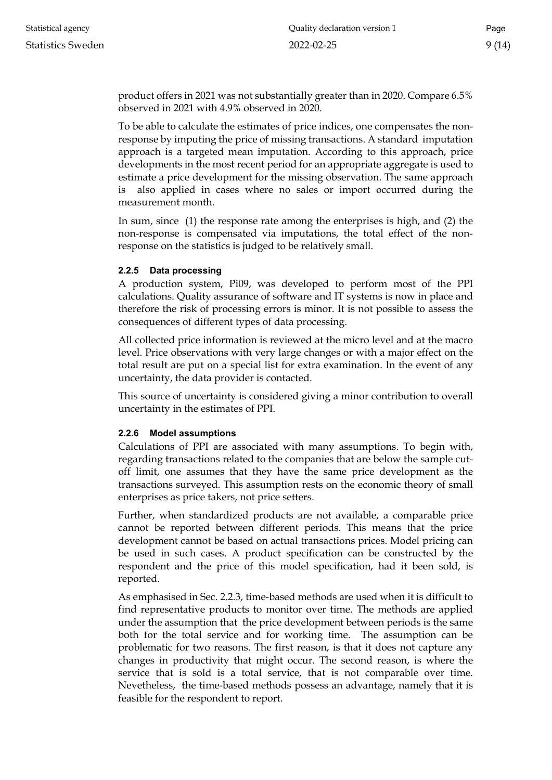product offers in 2021 was not substantially greater than in 2020. Compare 6.5% observed in 2021 with 4.9% observed in 2020.

To be able to calculate the estimates of price indices, one compensates the nonresponse by imputing the price of missing transactions. A standard imputation approach is a targeted mean imputation. According to this approach, price developments in the most recent period for an appropriate aggregate is used to estimate a price development for the missing observation. The same approach is also applied in cases where no sales or import occurred during the measurement month.

In sum, since (1) the response rate among the enterprises is high, and (2) the non-response is compensated via imputations, the total effect of the nonresponse on the statistics is judged to be relatively small.

#### <span id="page-8-0"></span>**2.2.5 Data processing**

A production system, Pi09, was developed to perform most of the PPI calculations. Quality assurance of software and IT systems is now in place and therefore the risk of processing errors is minor. It is not possible to assess the consequences of different types of data processing.

All collected price information is reviewed at the micro level and at the macro level. Price observations with very large changes or with a major effect on the total result are put on a special list for extra examination. In the event of any uncertainty, the data provider is contacted.

This source of uncertainty is considered giving a minor contribution to overall uncertainty in the estimates of PPI.

#### <span id="page-8-1"></span>**2.2.6 Model assumptions**

Calculations of PPI are associated with many assumptions. To begin with, regarding transactions related to the companies that are below the sample cutoff limit, one assumes that they have the same price development as the transactions surveyed. This assumption rests on the economic theory of small enterprises as price takers, not price setters.

Further, when standardized products are not available, a comparable price cannot be reported between different periods. This means that the price development cannot be based on actual transactions prices. Model pricing can be used in such cases. A product specification can be constructed by the respondent and the price of this model specification, had it been sold, is reported.

As emphasised in Sec. 2.2.3, time-based methods are used when it is difficult to find representative products to monitor over time. The methods are applied under the assumption that the price development between periods is the same both for the total service and for working time. The assumption can be problematic for two reasons. The first reason, is that it does not capture any changes in productivity that might occur. The second reason, is where the service that is sold is a total service, that is not comparable over time. Nevetheless, the time-based methods possess an advantage, namely that it is feasible for the respondent to report.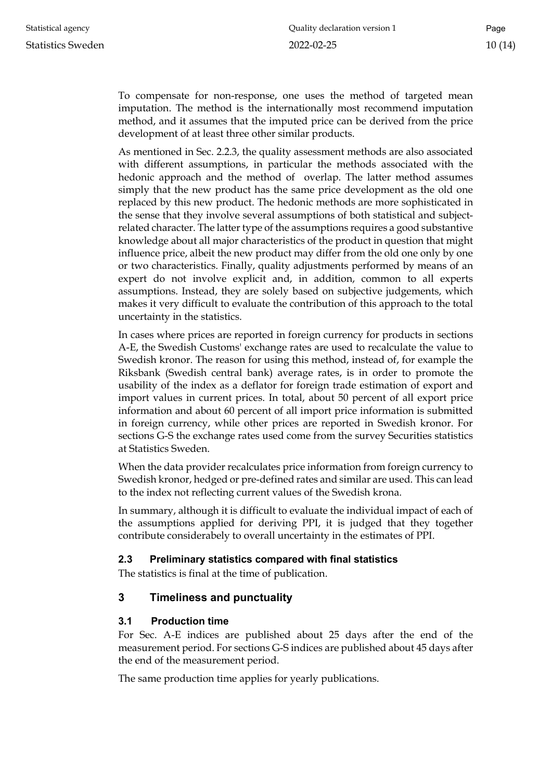To compensate for non-response, one uses the method of targeted mean imputation. The method is the internationally most recommend imputation method, and it assumes that the imputed price can be derived from the price development of at least three other similar products.

As mentioned in Sec. 2.2.3, the quality assessment methods are also associated with different assumptions, in particular the methods associated with the hedonic approach and the method of overlap. The latter method assumes simply that the new product has the same price development as the old one replaced by this new product. The hedonic methods are more sophisticated in the sense that they involve several assumptions of both statistical and subjectrelated character. The latter type of the assumptions requires a good substantive knowledge about all major characteristics of the product in question that might influence price, albeit the new product may differ from the old one only by one or two characteristics. Finally, quality adjustments performed by means of an expert do not involve explicit and, in addition, common to all experts assumptions. Instead, they are solely based on subjective judgements, which makes it very difficult to evaluate the contribution of this approach to the total uncertainty in the statistics.

In cases where prices are reported in foreign currency for products in sections A-E, the Swedish Customs' exchange rates are used to recalculate the value to Swedish kronor. The reason for using this method, instead of, for example the Riksbank (Swedish central bank) average rates, is in order to promote the usability of the index as a deflator for foreign trade estimation of export and import values in current prices. In total, about 50 percent of all export price information and about 60 percent of all import price information is submitted in foreign currency, while other prices are reported in Swedish kronor. For sections G-S the exchange rates used come from the survey Securities statistics at Statistics Sweden.

When the data provider recalculates price information from foreign currency to Swedish kronor, hedged or pre-defined rates and similar are used. This can lead to the index not reflecting current values of the Swedish krona.

In summary, although it is difficult to evaluate the individual impact of each of the assumptions applied for deriving PPI, it is judged that they together contribute considerabely to overall uncertainty in the estimates of PPI.

## <span id="page-9-0"></span>**2.3 Preliminary statistics compared with final statistics**

The statistics is final at the time of publication.

## <span id="page-9-1"></span>**3 Timeliness and punctuality**

## <span id="page-9-2"></span>**3.1 Production time**

For Sec. A-E indices are published about 25 days after the end of the measurement period. For sections G-S indices are published about 45 days after the end of the measurement period.

The same production time applies for yearly publications.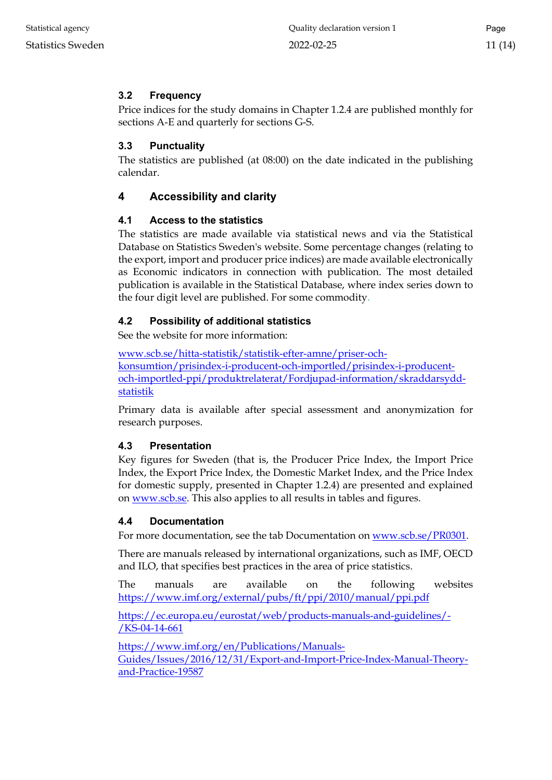## <span id="page-10-0"></span>**3.2 Frequency**

Price indices for the study domains in Chapter 1.2.4 are published monthly for sections A-E and quarterly for sections G-S.

## <span id="page-10-1"></span>**3.3 Punctuality**

The statistics are published (at 08:00) on the date indicated in the publishing calendar.

## <span id="page-10-2"></span>**4 Accessibility and clarity**

## <span id="page-10-3"></span>**4.1 Access to the statistics**

The statistics are made available via statistical news and via the Statistical Database on Statistics Sweden's website. Some percentage changes (relating to the export, import and producer price indices) are made available electronically as Economic indicators in connection with publication. The most detailed publication is available in the Statistical Database, where index series down to the four digit level are published. For some commodity.

## <span id="page-10-4"></span>**4.2 Possibility of additional statistics**

See the website for more information:

[www.scb.se/hitta-statistik/statistik-efter-amne/priser-och](http://www.scb.se/hitta-statistik/statistik-efter-amne/priser-och-konsumtion/prisindex-i-producent-och-importled/prisindex-i-producent-och-importled-ppi/produktrelaterat/Fordjupad-information/skraddarsydd-statistik)[konsumtion/prisindex-i-producent-och-importled/prisindex-i-producent](http://www.scb.se/hitta-statistik/statistik-efter-amne/priser-och-konsumtion/prisindex-i-producent-och-importled/prisindex-i-producent-och-importled-ppi/produktrelaterat/Fordjupad-information/skraddarsydd-statistik)[och-importled-ppi/produktrelaterat/Fordjupad-information/skraddarsydd](http://www.scb.se/hitta-statistik/statistik-efter-amne/priser-och-konsumtion/prisindex-i-producent-och-importled/prisindex-i-producent-och-importled-ppi/produktrelaterat/Fordjupad-information/skraddarsydd-statistik)[statistik](http://www.scb.se/hitta-statistik/statistik-efter-amne/priser-och-konsumtion/prisindex-i-producent-och-importled/prisindex-i-producent-och-importled-ppi/produktrelaterat/Fordjupad-information/skraddarsydd-statistik)

Primary data is available after special assessment and anonymization for research purposes.

## <span id="page-10-5"></span>**4.3 Presentation**

Key figures for Sweden (that is, the Producer Price Index, the Import Price Index, the Export Price Index, the Domestic Market Index, and the Price Index for domestic supply, presented in Chapter 1.2.4) are presented and explained on [www.scb.se.](http://www.scb.se/) This also applies to all results in tables and figures.

## <span id="page-10-6"></span>**4.4 Documentation**

For more documentation, see the tab Documentation on [www.scb.se/PR0301.](file://scb.intra/data/Prod/NA/PR/TPPI%20gem/Dokumentation%20BaS%20och%20Dok/PPI%20KD/Slutliga%20versioner/www.scb.se/PR0301)

There are manuals released by international organizations, such as IMF, OECD and ILO, that specifies best practices in the area of price statistics.

The manuals are available on the following websites <https://www.imf.org/external/pubs/ft/ppi/2010/manual/ppi.pdf>

[https://ec.europa.eu/eurostat/web/products-manuals-and-guidelines/-](https://ec.europa.eu/eurostat/web/products-manuals-and-guidelines/-/KS-04-14-661) [/KS-04-14-661](https://ec.europa.eu/eurostat/web/products-manuals-and-guidelines/-/KS-04-14-661)

[https://www.imf.org/en/Publications/Manuals-](https://www.imf.org/en/Publications/Manuals-Guides/Issues/2016/12/31/Export-and-Import-Price-Index-Manual-Theory-and-Practice-19587)[Guides/Issues/2016/12/31/Export-and-Import-Price-Index-Manual-Theory](https://www.imf.org/en/Publications/Manuals-Guides/Issues/2016/12/31/Export-and-Import-Price-Index-Manual-Theory-and-Practice-19587)[and-Practice-19587](https://www.imf.org/en/Publications/Manuals-Guides/Issues/2016/12/31/Export-and-Import-Price-Index-Manual-Theory-and-Practice-19587)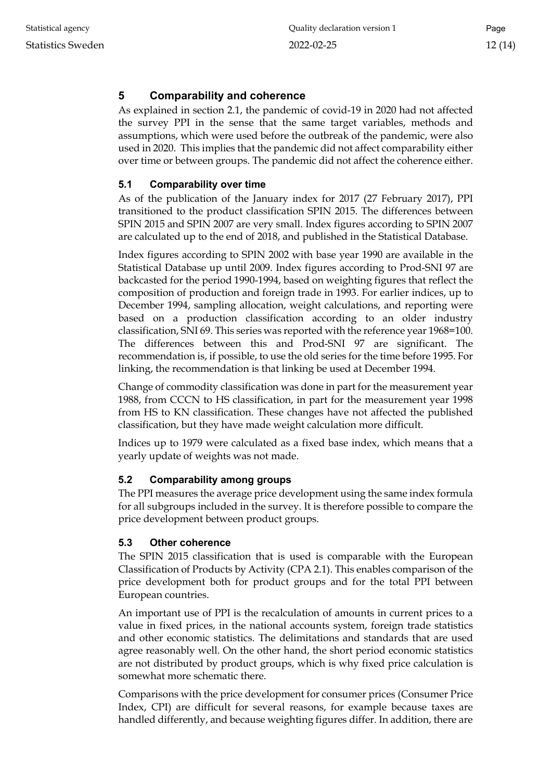## <span id="page-11-0"></span>**5 Comparability and coherence**

As explained in section 2.1, the pandemic of covid-19 in 2020 had not affected the survey PPI in the sense that the same target variables, methods and assumptions, which were used before the outbreak of the pandemic, were also used in 2020. This implies that the pandemic did not affect comparability either over time or between groups. The pandemic did not affect the coherence either.

## <span id="page-11-1"></span>**5.1 Comparability over time**

As of the publication of the January index for 2017 (27 February 2017), PPI transitioned to the product classification SPIN 2015. The differences between SPIN 2015 and SPIN 2007 are very small. Index figures according to SPIN 2007 are calculated up to the end of 2018, and published in the Statistical Database.

Index figures according to SPIN 2002 with base year 1990 are available in the Statistical Database up until 2009. Index figures according to Prod-SNI 97 are backcasted for the period 1990-1994, based on weighting figures that reflect the composition of production and foreign trade in 1993. For earlier indices, up to December 1994, sampling allocation, weight calculations, and reporting were based on a production classification according to an older industry classification, SNI 69. This series was reported with the reference year 1968=100. The differences between this and Prod-SNI 97 are significant. The recommendation is, if possible, to use the old series for the time before 1995. For linking, the recommendation is that linking be used at December 1994.

Change of commodity classification was done in part for the measurement year 1988, from CCCN to HS classification, in part for the measurement year 1998 from HS to KN classification. These changes have not affected the published classification, but they have made weight calculation more difficult.

Indices up to 1979 were calculated as a fixed base index, which means that a yearly update of weights was not made.

## <span id="page-11-2"></span>**5.2 Comparability among groups**

The PPI measures the average price development using the same index formula for all subgroups included in the survey. It is therefore possible to compare the price development between product groups.

## <span id="page-11-3"></span>**5.3 Other coherence**

The SPIN 2015 classification that is used is comparable with the European Classification of Products by Activity (CPA 2.1). This enables comparison of the price development both for product groups and for the total PPI between European countries.

An important use of PPI is the recalculation of amounts in current prices to a value in fixed prices, in the national accounts system, foreign trade statistics and other economic statistics. The delimitations and standards that are used agree reasonably well. On the other hand, the short period economic statistics are not distributed by product groups, which is why fixed price calculation is somewhat more schematic there.

Comparisons with the price development for consumer prices (Consumer Price Index, CPI) are difficult for several reasons, for example because taxes are handled differently, and because weighting figures differ. In addition, there are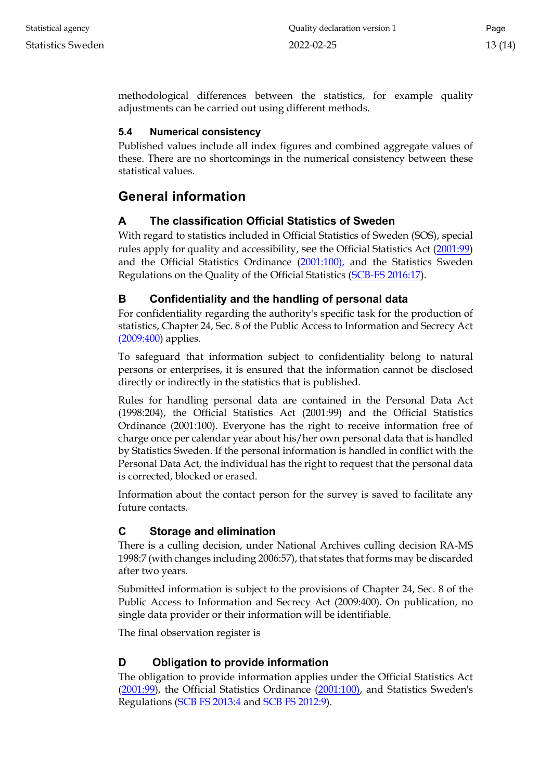methodological differences between the statistics, for example quality adjustments can be carried out using different methods.

## <span id="page-12-0"></span>**5.4 Numerical consistency**

Published values include all index figures and combined aggregate values of these. There are no shortcomings in the numerical consistency between these statistical values.

# <span id="page-12-1"></span>**General information**

## <span id="page-12-2"></span>**A The classification Official Statistics of Sweden**

With regard to statistics included in Official Statistics of Sweden (SOS), special rules apply for quality and accessibility, see the Official Statistics Act [\(2001:99\)](http://www.riksdagen.se/sv/Dokument-Lagar/Lagar/Svenskforfattningssamling/Lag-200199-om-den-officiell_sfs-2001-99/) and the Official Statistics Ordinance [\(2001:100\)](http://www.riksdagen.se/sv/dokument-lagar/dokument/svensk-forfattningssamling/forordning-2001100-om-den-officiella_sfs-2001-100), and the Statistics Sweden Regulations on the Quality of the Official Statistics (SCB-FS 2016:17).

# <span id="page-12-3"></span>**B Confidentiality and the handling of personal data**

For confidentiality regarding the authority's specific task for the production of statistics, Chapter 24, Sec. 8 of th[e Public Access to Information and Secrecy Act](http://www.riksdagen.se/sv/Dokument-Lagar/Lagar/Svenskforfattningssamling/Offentlighets--och-sekretessla_sfs-2009-400/) [\(2009:400\)](http://www.riksdagen.se/sv/Dokument-Lagar/Lagar/Svenskforfattningssamling/Offentlighets--och-sekretessla_sfs-2009-400/) applies.

To safeguard that information subject to confidentiality belong to natural persons or enterprises, it is ensured that the information cannot be disclosed directly or indirectly in the statistics that is published.

Rules for handling personal data are contained in the Personal Data Act (1998:204), the Official Statistics Act (2001:99) and the Official Statistics Ordinance (2001:100). Everyone has the right to receive information free of charge once per calendar year about his/her own personal data that is handled by Statistics Sweden. If the personal information is handled in conflict with the Personal Data Act, the individual has the right to request that the personal data is corrected, blocked or erased.

Information about the contact person for the survey is saved to facilitate any future contacts.

## <span id="page-12-4"></span>**C Storage and elimination**

There is a culling decision, under National Archives culling decision RA-MS 1998:7 (with changes including 2006:57), that states that forms may be discarded after two years.

Submitted information is subject to the provisions of Chapter 24, Sec. 8 of the Public Access to Information and Secrecy Act (2009:400). On publication, no single data provider or their information will be identifiable.

The final observation register is

# <span id="page-12-5"></span>**D Obligation to provide information**

The obligation to provide information applies under the [Official Statistics Act](http://www.riksdagen.se/sv/dokument-lagar/dokument/svensk-forfattningssamling/forordning-2001100-om-den-officiella_sfs-2001-100)  (2001:99), [the Official Statistics Ordinance \(2001:100\), a](http://www.riksdagen.se/sv/dokument-lagar/dokument/svensk-forfattningssamling/forordning-2001100-om-den-officiella_sfs-2001-100)nd Statistics Sweden's Regulations (SCB FS 2013:4 and SCB FS 2012:9).